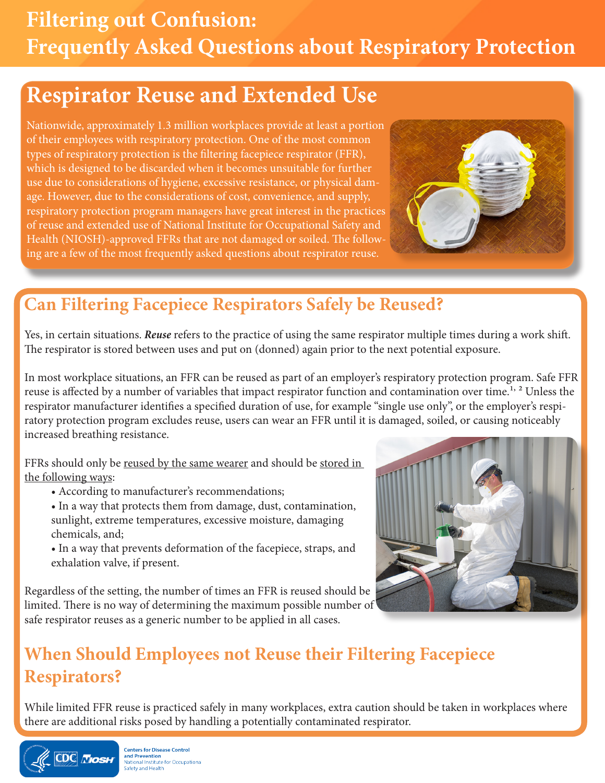# **Filtering out Confusion: Frequently Asked Questions about Respiratory Protection**

## **Respirator Reuse and Extended Use**

Nationwide, approximately 1.3 million workplaces provide at least a portion of their employees with respiratory protection. One of the most common types of respiratory protection is the filtering facepiece respirator (FFR), which is designed to be discarded when it becomes unsuitable for further use due to considerations of hygiene, excessive resistance, or physical damage. However, due to the considerations of cost, convenience, and supply, respiratory protection program managers have great interest in the practices of reuse and extended use of National Institute for Occupational Safety and Health (NIOSH)-approved FFRs that are not damaged or soiled. The following are a few of the most frequently asked questions about respirator reuse.



## **Can Filtering Facepiece Respirators Safely be Reused?**

Yes, in certain situations. *Reuse* refers to the practice of using the same respirator multiple times during a work shift. The respirator is stored between uses and put on (donned) again prior to the next potential exposure.

In most workplace situations, an FFR can be reused as part of an employer's respiratory protection program. Safe FFR reuse is affected by a number of variables that impact respirator function and contamination over time.<sup>1, 2</sup> Unless the respirator manufacturer identifies a specified duration of use, for example "single use only", or the employer's respiratory protection program excludes reuse, users can wear an FFR until it is damaged, soiled, or causing noticeably increased breathing resistance.

FFRs should only be reused by the same wearer and should be stored in the following ways:

• According to manufacturer's recommendations;

• In a way that protects them from damage, dust, contamination, sunlight, extreme temperatures, excessive moisture, damaging chemicals, and;

• In a way that prevents deformation of the facepiece, straps, and exhalation valve, if present.

Regardless of the setting, the number of times an FFR is reused should be limited. There is no way of determining the maximum possible number of safe respirator reuses as a generic number to be applied in all cases.



## **When Should Employees not Reuse their Filtering Facepiece Respirators?**

While limited FFR reuse is practiced safely in many workplaces, extra caution should be taken in workplaces where there are additional risks posed by handling a potentially contaminated respirator.



**Centers for Disease Control** and Prevention<br>National Institute for Occupational<br>Safety and Health